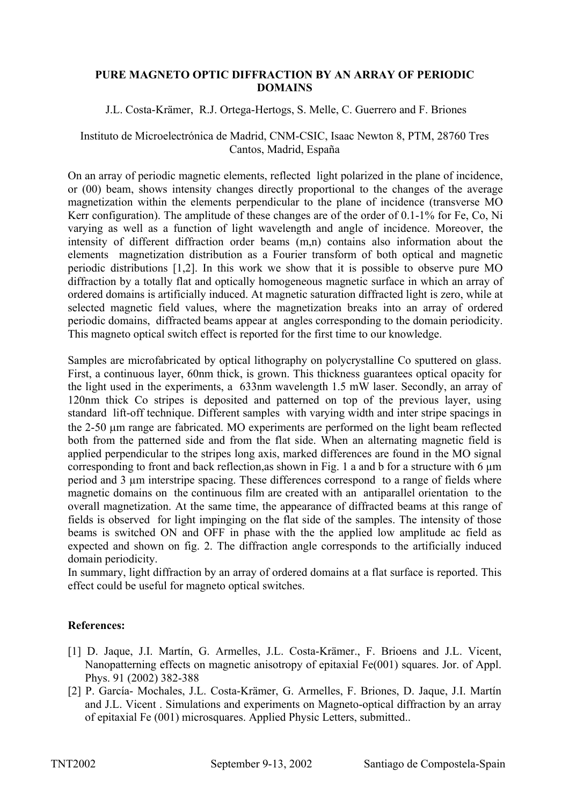## **PURE MAGNETO OPTIC DIFFRACTION BY AN ARRAY OF PERIODIC DOMAINS**

## J.L. Costa-Krämer, R.J. Ortega-Hertogs, S. Melle, C. Guerrero and F. Briones

## Instituto de Microelectrónica de Madrid, CNM-CSIC, Isaac Newton 8, PTM, 28760 Tres Cantos, Madrid, España

On an array of periodic magnetic elements, reflected light polarized in the plane of incidence, or (00) beam, shows intensity changes directly proportional to the changes of the average magnetization within the elements perpendicular to the plane of incidence (transverse MO Kerr configuration). The amplitude of these changes are of the order of 0.1-1% for Fe, Co, Ni varying as well as a function of light wavelength and angle of incidence. Moreover, the intensity of different diffraction order beams (m,n) contains also information about the elements magnetization distribution as a Fourier transform of both optical and magnetic periodic distributions [1,2]. In this work we show that it is possible to observe pure MO diffraction by a totally flat and optically homogeneous magnetic surface in which an array of ordered domains is artificially induced. At magnetic saturation diffracted light is zero, while at selected magnetic field values, where the magnetization breaks into an array of ordered periodic domains, diffracted beams appear at angles corresponding to the domain periodicity. This magneto optical switch effect is reported for the first time to our knowledge.

Samples are microfabricated by optical lithography on polycrystalline Co sputtered on glass. First, a continuous layer, 60nm thick, is grown. This thickness guarantees optical opacity for the light used in the experiments, a 633nm wavelength 1.5 mW laser. Secondly, an array of 120nm thick Co stripes is deposited and patterned on top of the previous layer, using standard lift-off technique. Different samples with varying width and inter stripe spacings in the 2-50 um range are fabricated. MO experiments are performed on the light beam reflected both from the patterned side and from the flat side. When an alternating magnetic field is applied perpendicular to the stripes long axis, marked differences are found in the MO signal corresponding to front and back reflection, as shown in Fig. 1 a and b for a structure with 6  $\mu$ m period and 3 µm interstripe spacing. These differences correspond to a range of fields where magnetic domains on the continuous film are created with an antiparallel orientation to the overall magnetization. At the same time, the appearance of diffracted beams at this range of fields is observed for light impinging on the flat side of the samples. The intensity of those beams is switched ON and OFF in phase with the the applied low amplitude ac field as expected and shown on fig. 2. The diffraction angle corresponds to the artificially induced domain periodicity.

In summary, light diffraction by an array of ordered domains at a flat surface is reported. This effect could be useful for magneto optical switches.

## **References:**

- [1] D. Jaque, J.I. Martín, G. Armelles, J.L. Costa-Krämer., F. Brioens and J.L. Vicent, Nanopatterning effects on magnetic anisotropy of epitaxial Fe(001) squares. Jor. of Appl. Phys. 91 (2002) 382-388
- [2] P. García- Mochales, J.L. Costa-Krämer, G. Armelles, F. Briones, D. Jaque, J.I. Martín and J.L. Vicent . Simulations and experiments on Magneto-optical diffraction by an array of epitaxial Fe (001) microsquares. Applied Physic Letters, submitted..